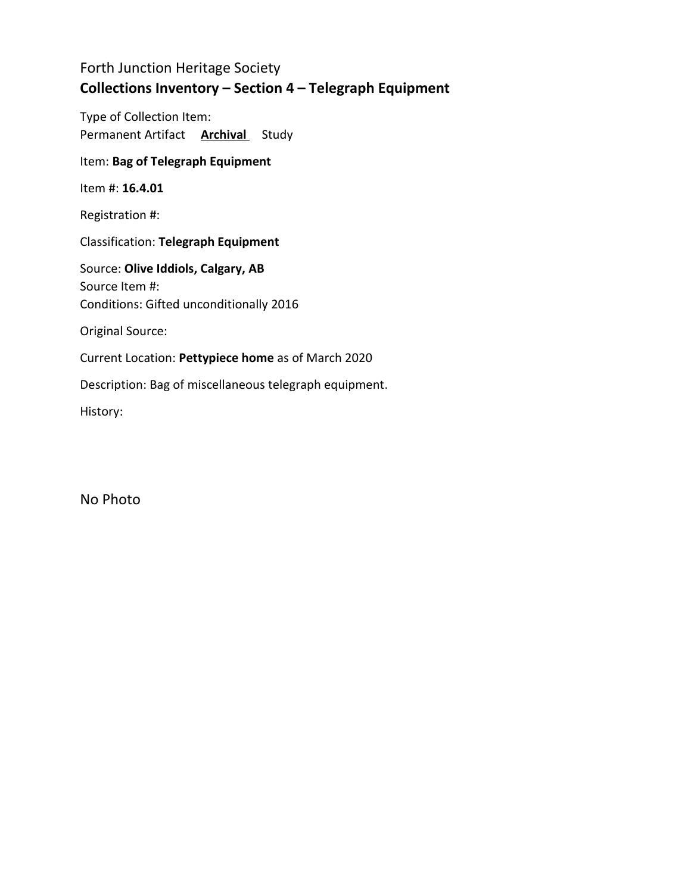Type of Collection Item: Permanent Artifact **Archival** Study

### Item: **Bag of Telegraph Equipment**

Item #: **16.4.01**

Registration #:

Classification: **Telegraph Equipment**

Source: **Olive Iddiols, Calgary, AB** Source Item #: Conditions: Gifted unconditionally 2016

Original Source:

Current Location: **Pettypiece home** as of March 2020

Description: Bag of miscellaneous telegraph equipment.

History:

No Photo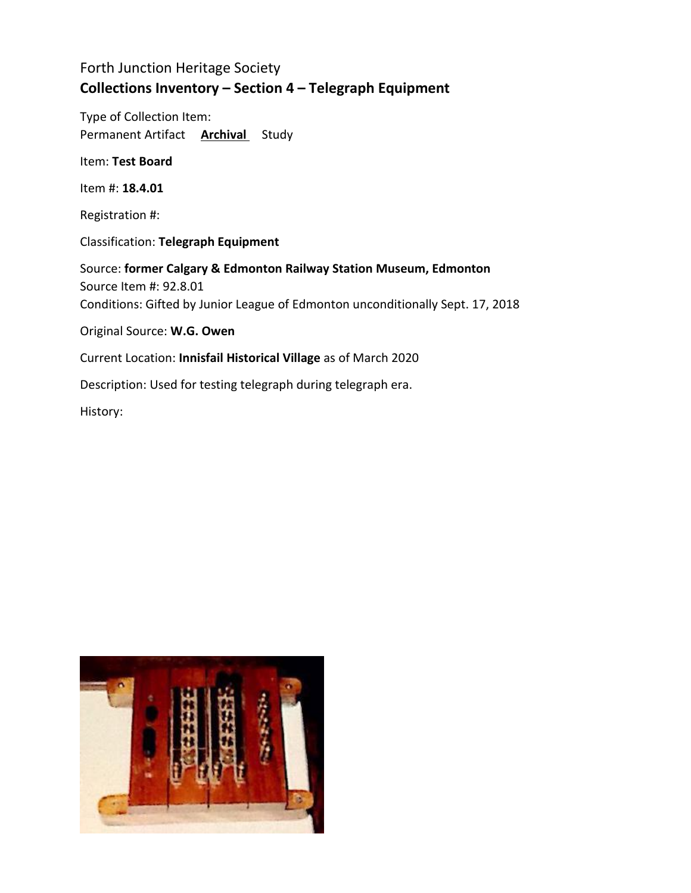Type of Collection Item: Permanent Artifact **Archival** Study

Item: **Test Board**

Item #: **18.4.01**

Registration #:

Classification: **Telegraph Equipment**

Source: **former Calgary & Edmonton Railway Station Museum, Edmonton** Source Item #: 92.8.01 Conditions: Gifted by Junior League of Edmonton unconditionally Sept. 17, 2018

Original Source: **W.G. Owen**

Current Location: **Innisfail Historical Village** as of March 2020

Description: Used for testing telegraph during telegraph era.

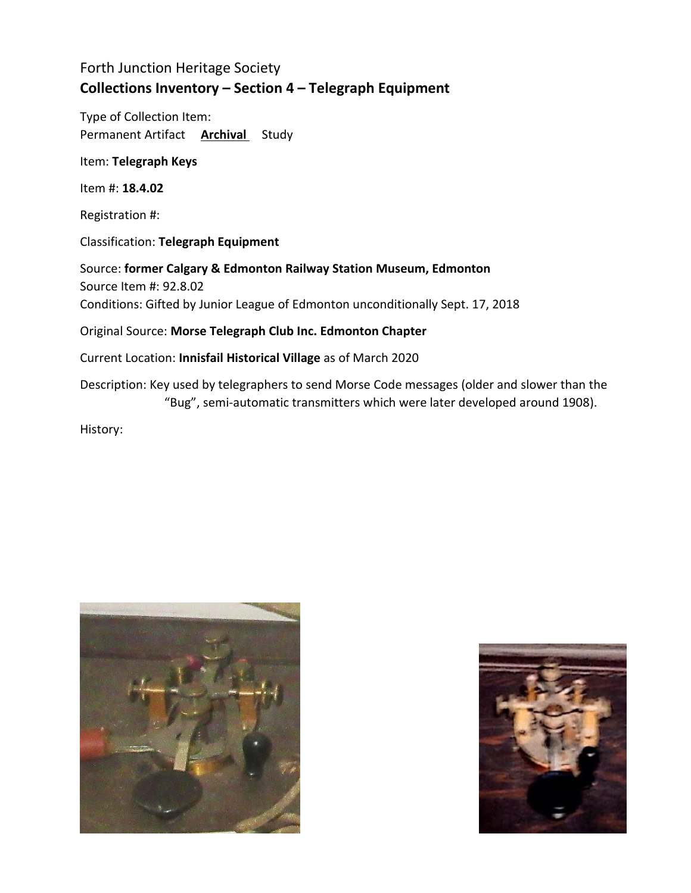Type of Collection Item: Permanent Artifact **Archival** Study

Item: **Telegraph Keys**

Item #: **18.4.02**

Registration #:

Classification: **Telegraph Equipment**

Source: **former Calgary & Edmonton Railway Station Museum, Edmonton** Source Item #: 92.8.02 Conditions: Gifted by Junior League of Edmonton unconditionally Sept. 17, 2018

Original Source: **Morse Telegraph Club Inc. Edmonton Chapter**

Current Location: **Innisfail Historical Village** as of March 2020

Description: Key used by telegraphers to send Morse Code messages (older and slower than the "Bug", semi-automatic transmitters which were later developed around 1908).



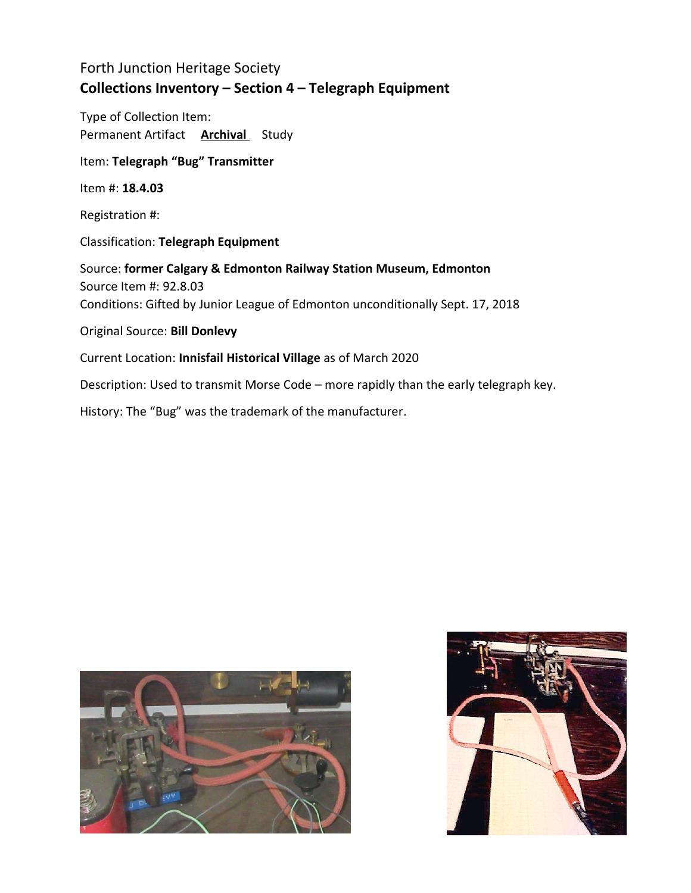Type of Collection Item: Permanent Artifact **Archival** Study

Item: **Telegraph "Bug" Transmitter**

Item #: **18.4.03**

Registration #:

Classification: **Telegraph Equipment**

Source: **former Calgary & Edmonton Railway Station Museum, Edmonton** Source Item #: 92.8.03 Conditions: Gifted by Junior League of Edmonton unconditionally Sept. 17, 2018

Original Source: **Bill Donlevy**

Current Location: **Innisfail Historical Village** as of March 2020

Description: Used to transmit Morse Code – more rapidly than the early telegraph key.

History: The "Bug" was the trademark of the manufacturer.



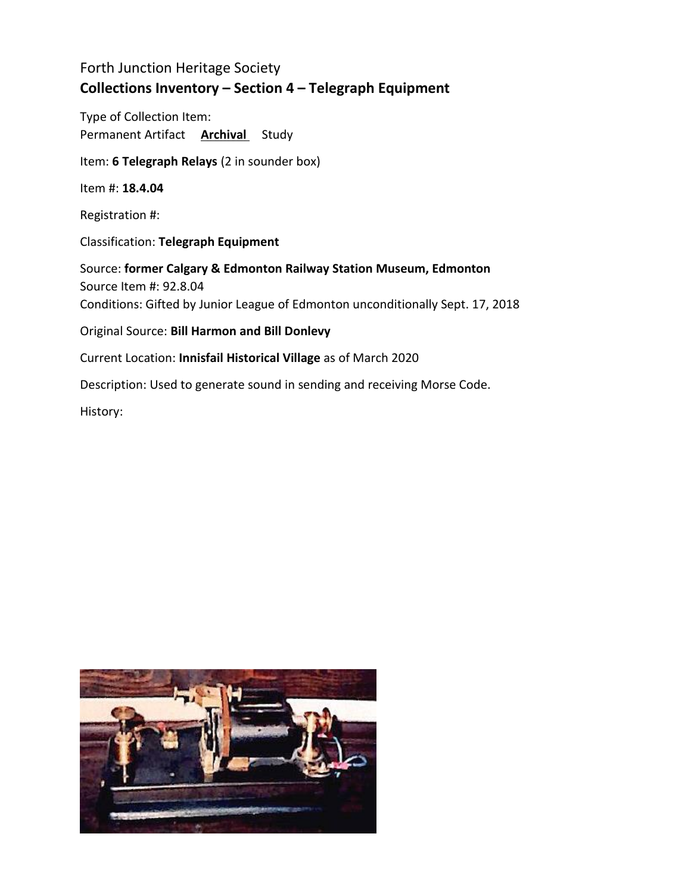Type of Collection Item: Permanent Artifact **Archival** Study

Item: **6 Telegraph Relays** (2 in sounder box)

Item #: **18.4.04**

Registration #:

Classification: **Telegraph Equipment**

Source: **former Calgary & Edmonton Railway Station Museum, Edmonton** Source Item #: 92.8.04 Conditions: Gifted by Junior League of Edmonton unconditionally Sept. 17, 2018

Original Source: **Bill Harmon and Bill Donlevy**

Current Location: **Innisfail Historical Village** as of March 2020

Description: Used to generate sound in sending and receiving Morse Code.

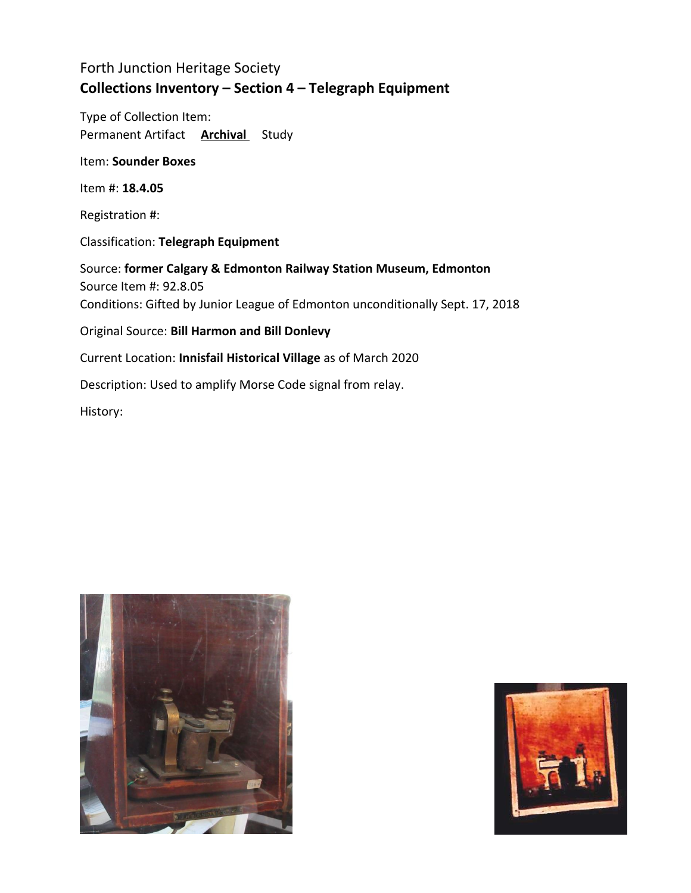Type of Collection Item: Permanent Artifact **Archival** Study

Item: **Sounder Boxes**

Item #: **18.4.05**

Registration #:

Classification: **Telegraph Equipment**

Source: **former Calgary & Edmonton Railway Station Museum, Edmonton** Source Item #: 92.8.05 Conditions: Gifted by Junior League of Edmonton unconditionally Sept. 17, 2018 Original Source: **Bill Harmon and Bill Donlevy**

Current Location: **Innisfail Historical Village** as of March 2020

Description: Used to amplify Morse Code signal from relay.



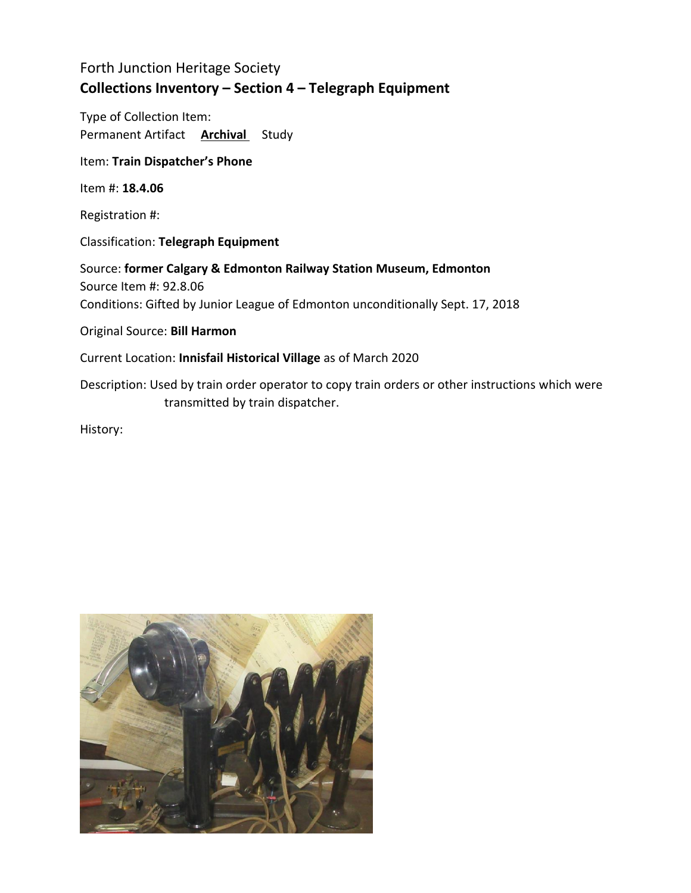Type of Collection Item: Permanent Artifact **Archival** Study

Item: **Train Dispatcher's Phone**

Item #: **18.4.06**

Registration #:

Classification: **Telegraph Equipment**

Source: **former Calgary & Edmonton Railway Station Museum, Edmonton** Source Item #: 92.8.06 Conditions: Gifted by Junior League of Edmonton unconditionally Sept. 17, 2018

Original Source: **Bill Harmon**

Current Location: **Innisfail Historical Village** as of March 2020

Description: Used by train order operator to copy train orders or other instructions which were transmitted by train dispatcher.

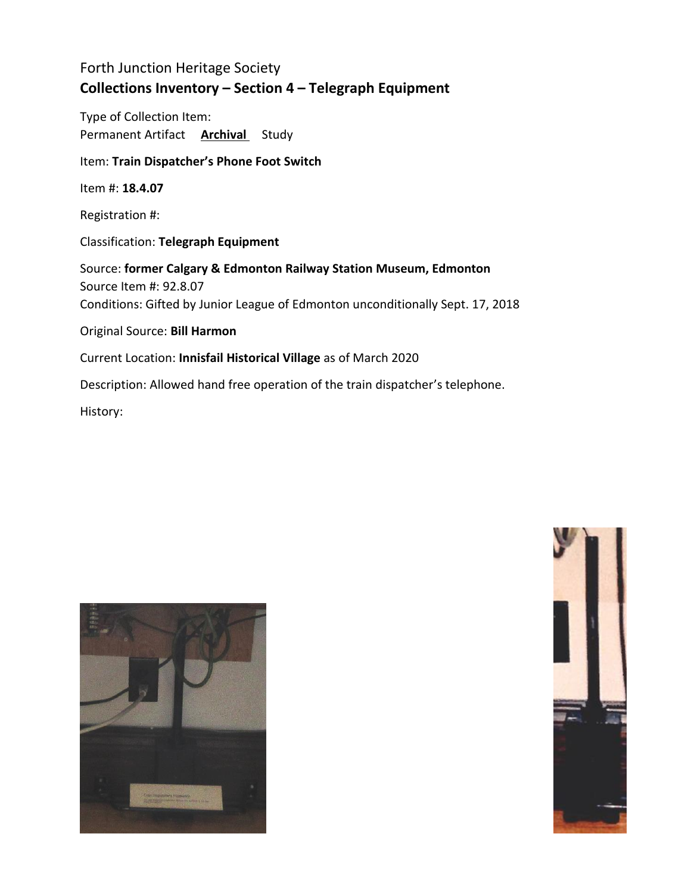Type of Collection Item: Permanent Artifact **Archival** Study

### Item: **Train Dispatcher's Phone Foot Switch**

Item #: **18.4.07**

Registration #:

Classification: **Telegraph Equipment**

Source: **former Calgary & Edmonton Railway Station Museum, Edmonton** Source Item #: 92.8.07 Conditions: Gifted by Junior League of Edmonton unconditionally Sept. 17, 2018

Original Source: **Bill Harmon**

Current Location: **Innisfail Historical Village** as of March 2020

Description: Allowed hand free operation of the train dispatcher's telephone.



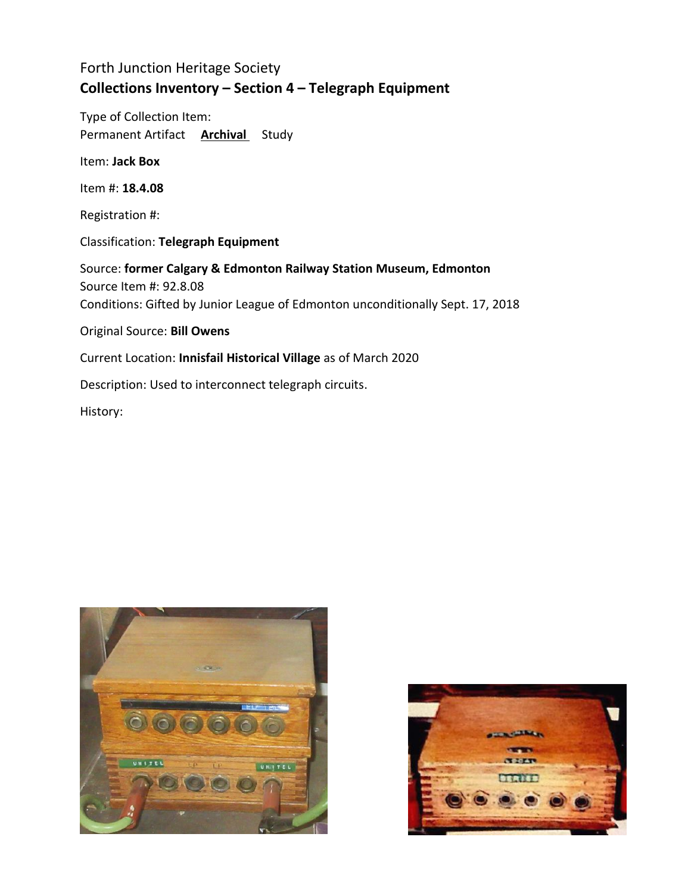Type of Collection Item: Permanent Artifact **Archival** Study

Item: **Jack Box**

Item #: **18.4.08**

Registration #:

Classification: **Telegraph Equipment**

Source: **former Calgary & Edmonton Railway Station Museum, Edmonton** Source Item #: 92.8.08 Conditions: Gifted by Junior League of Edmonton unconditionally Sept. 17, 2018

Original Source: **Bill Owens**

Current Location: **Innisfail Historical Village** as of March 2020

Description: Used to interconnect telegraph circuits.



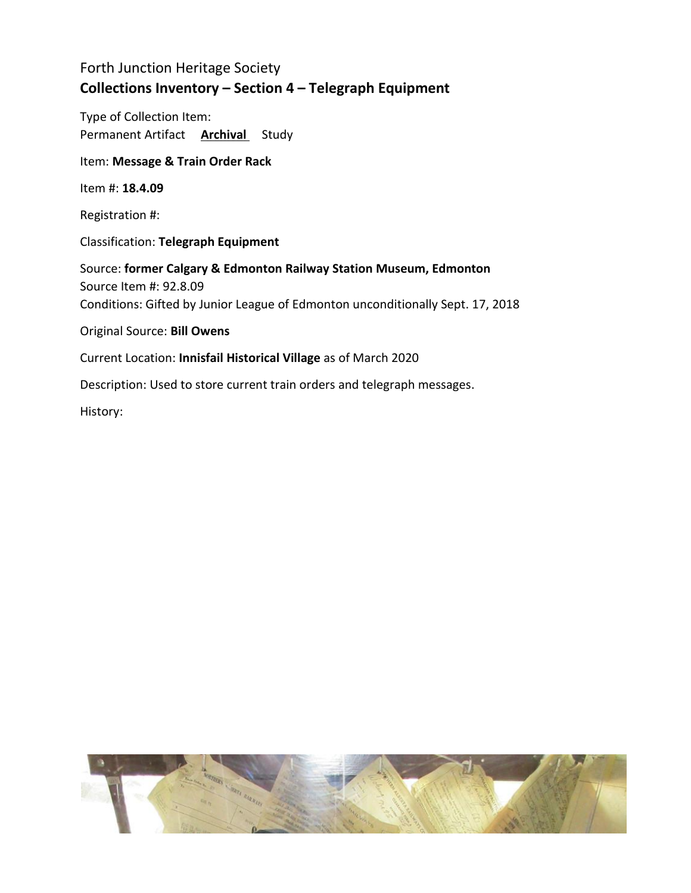Type of Collection Item: Permanent Artifact **Archival** Study

#### Item: **Message & Train Order Rack**

Item #: **18.4.09**

Registration #:

Classification: **Telegraph Equipment**

Source: **former Calgary & Edmonton Railway Station Museum, Edmonton** Source Item #: 92.8.09 Conditions: Gifted by Junior League of Edmonton unconditionally Sept. 17, 2018

Original Source: **Bill Owens**

Current Location: **Innisfail Historical Village** as of March 2020

Description: Used to store current train orders and telegraph messages.

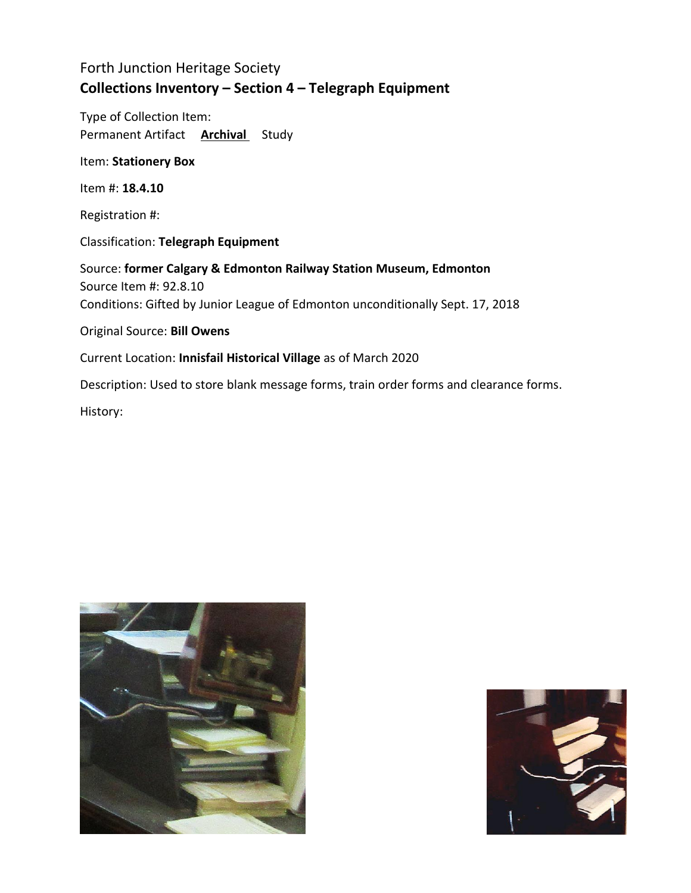Type of Collection Item: Permanent Artifact **Archival** Study

Item: **Stationery Box**

Item #: **18.4.10**

Registration #:

Classification: **Telegraph Equipment**

Source: **former Calgary & Edmonton Railway Station Museum, Edmonton** Source Item #: 92.8.10 Conditions: Gifted by Junior League of Edmonton unconditionally Sept. 17, 2018

Original Source: **Bill Owens**

Current Location: **Innisfail Historical Village** as of March 2020

Description: Used to store blank message forms, train order forms and clearance forms.



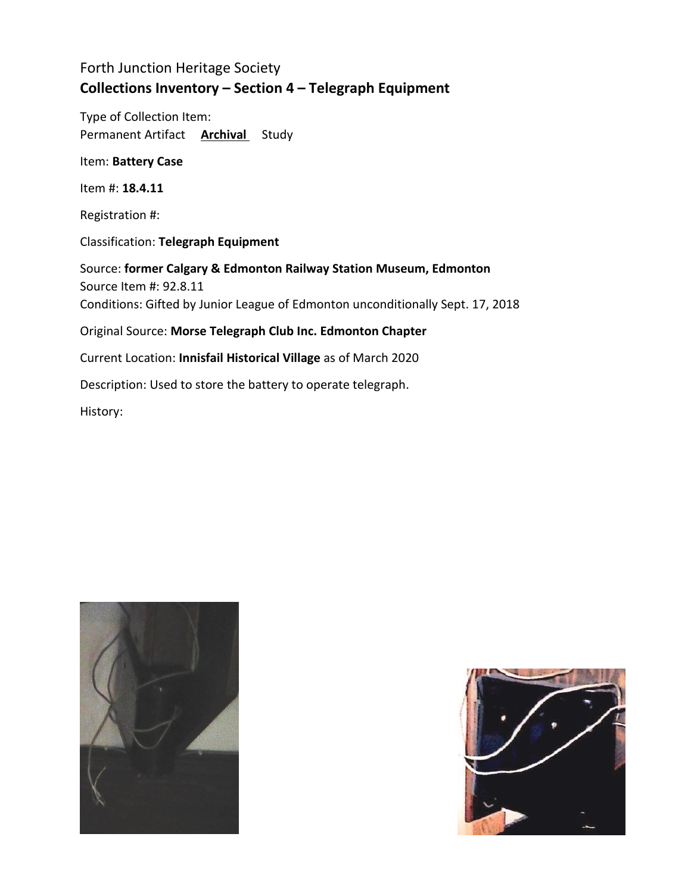Type of Collection Item: Permanent Artifact **Archival** Study

Item: **Battery Case**

Item #: **18.4.11**

Registration #:

Classification: **Telegraph Equipment**

Source: **former Calgary & Edmonton Railway Station Museum, Edmonton** Source Item #: 92.8.11 Conditions: Gifted by Junior League of Edmonton unconditionally Sept. 17, 2018 Original Source: **Morse Telegraph Club Inc. Edmonton Chapter** Current Location: **Innisfail Historical Village** as of March 2020 Description: Used to store the battery to operate telegraph.



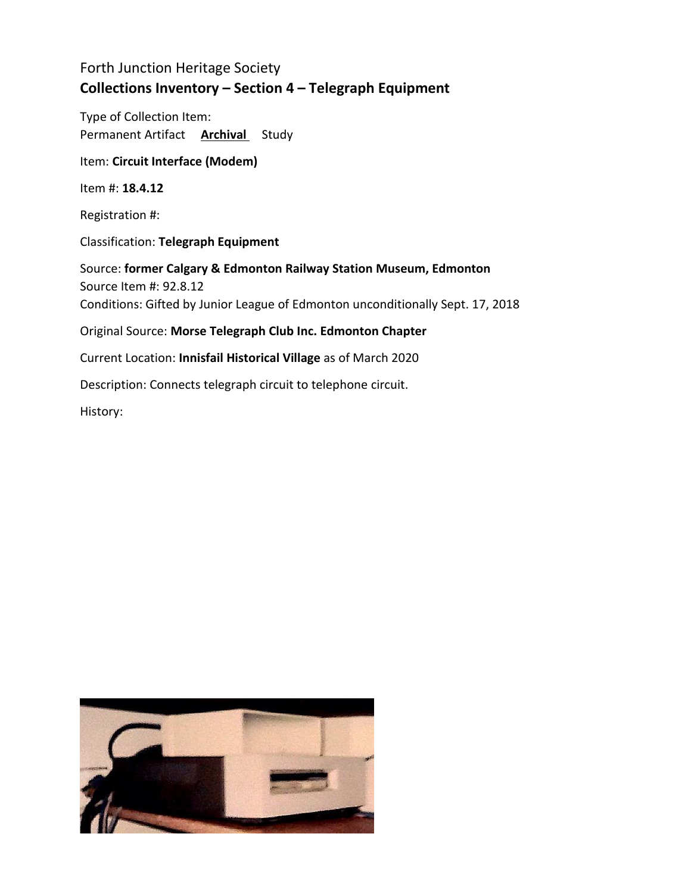Type of Collection Item: Permanent Artifact **Archival** Study

Item: **Circuit Interface (Modem)**

Item #: **18.4.12**

Registration #:

Classification: **Telegraph Equipment**

Source: **former Calgary & Edmonton Railway Station Museum, Edmonton** Source Item #: 92.8.12 Conditions: Gifted by Junior League of Edmonton unconditionally Sept. 17, 2018 Original Source: **Morse Telegraph Club Inc. Edmonton Chapter** Current Location: **Innisfail Historical Village** as of March 2020

Description: Connects telegraph circuit to telephone circuit.

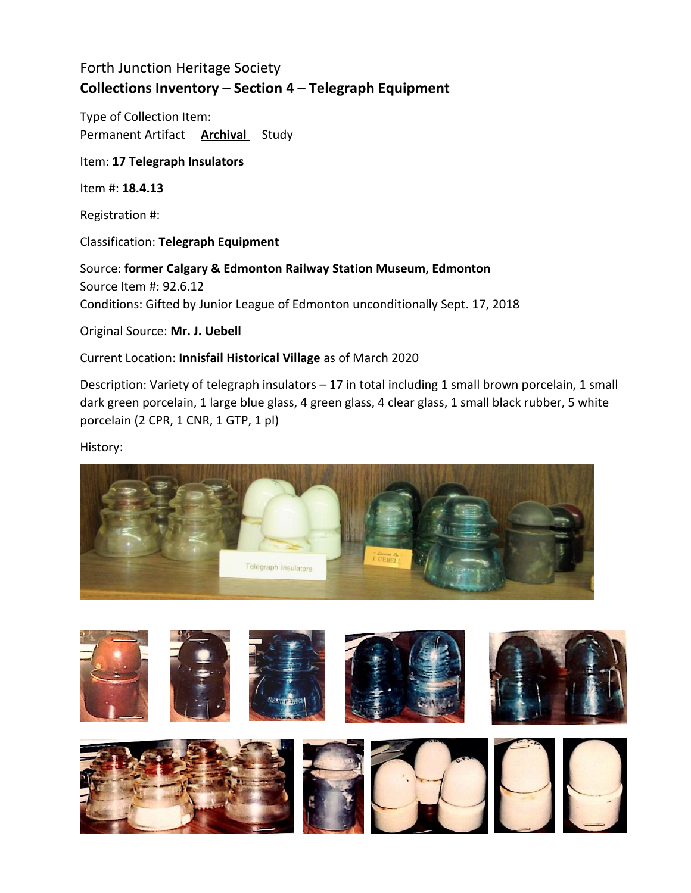Type of Collection Item: Permanent Artifact **Archival** Study

#### Item: **17 Telegraph Insulators**

Item #: **18.4.13**

Registration #:

Classification: **Telegraph Equipment**

Source: **former Calgary & Edmonton Railway Station Museum, Edmonton** Source Item #: 92.6.12 Conditions: Gifted by Junior League of Edmonton unconditionally Sept. 17, 2018

Original Source: **Mr. J. Uebell**

### Current Location: **Innisfail Historical Village** as of March 2020

Description: Variety of telegraph insulators – 17 in total including 1 small brown porcelain, 1 small dark green porcelain, 1 large blue glass, 4 green glass, 4 clear glass, 1 small black rubber, 5 white porcelain (2 CPR, 1 CNR, 1 GTP, 1 pl)



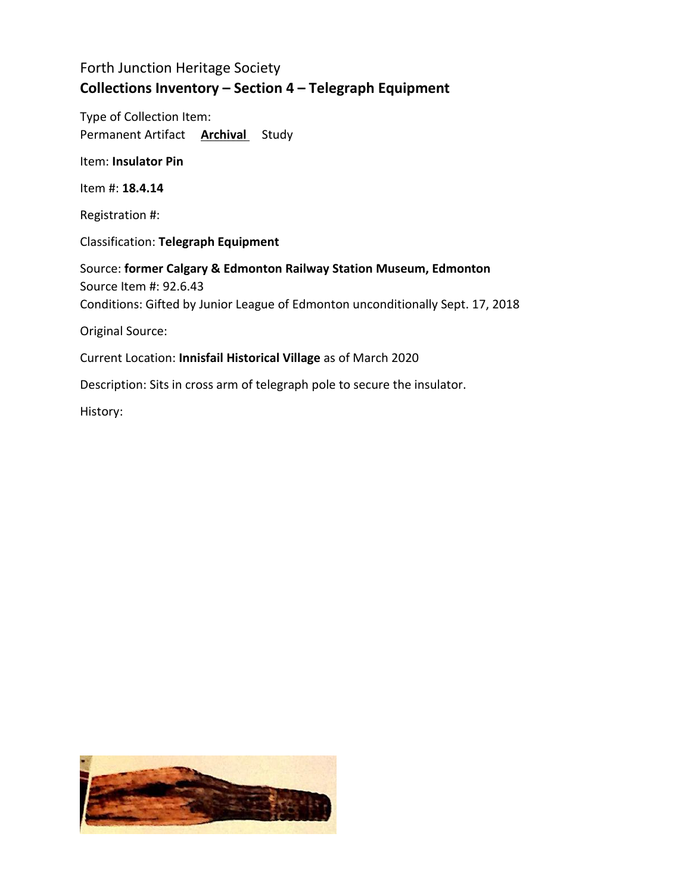Type of Collection Item: Permanent Artifact **Archival** Study

Item: **Insulator Pin**

Item #: **18.4.14**

Registration #:

Classification: **Telegraph Equipment**

Source: **former Calgary & Edmonton Railway Station Museum, Edmonton** Source Item #: 92.6.43 Conditions: Gifted by Junior League of Edmonton unconditionally Sept. 17, 2018

Original Source:

Current Location: **Innisfail Historical Village** as of March 2020

Description: Sits in cross arm of telegraph pole to secure the insulator.

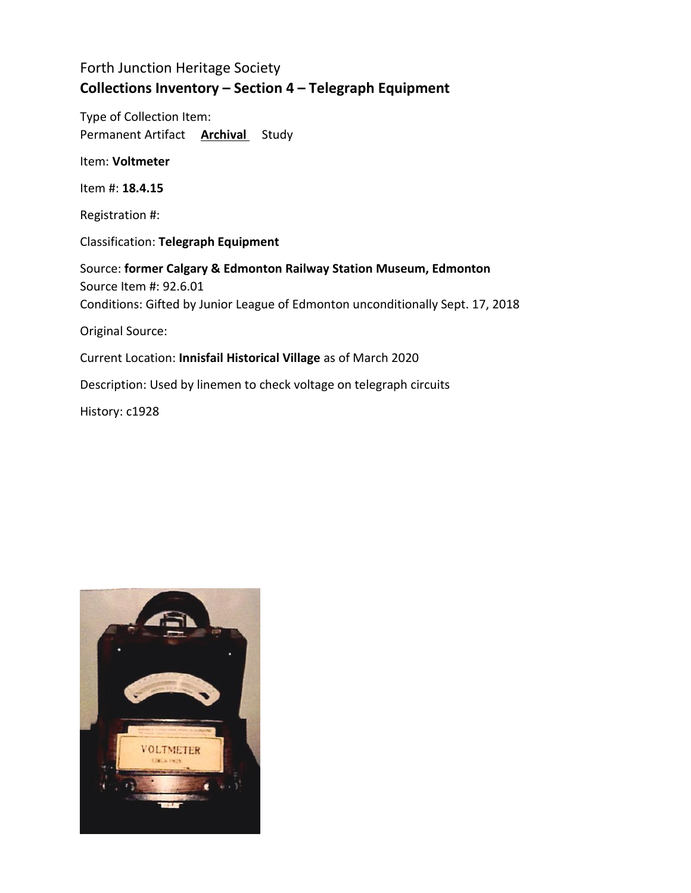Type of Collection Item: Permanent Artifact **Archival** Study

Item: **Voltmeter**

Item #: **18.4.15**

Registration #:

Classification: **Telegraph Equipment**

Source: **former Calgary & Edmonton Railway Station Museum, Edmonton** Source Item #: 92.6.01 Conditions: Gifted by Junior League of Edmonton unconditionally Sept. 17, 2018 Original Source: Current Location: **Innisfail Historical Village** as of March 2020 Description: Used by linemen to check voltage on telegraph circuits

History: c1928